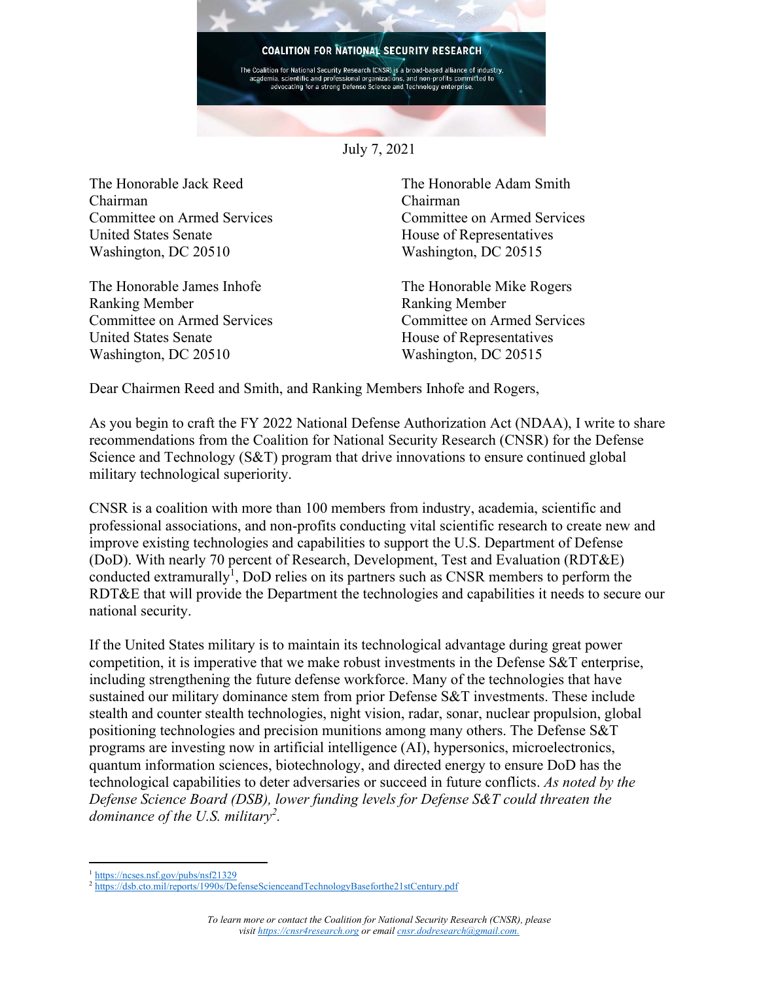

July 7, 2021

The Honorable Jack Reed Chairman Committee on Armed Services United States Senate Washington, DC 20510

The Honorable James Inhofe Ranking Member Committee on Armed Services United States Senate Washington, DC 20510

The Honorable Adam Smith Chairman Committee on Armed Services House of Representatives Washington, DC 20515

The Honorable Mike Rogers Ranking Member Committee on Armed Services House of Representatives Washington, DC 20515

Dear Chairmen Reed and Smith, and Ranking Members Inhofe and Rogers,

As you begin to craft the FY 2022 National Defense Authorization Act (NDAA), I write to share recommendations from the Coalition for National Security Research (CNSR) for the Defense Science and Technology (S&T) program that drive innovations to ensure continued global military technological superiority.

CNSR is a coalition with more than 100 members from industry, academia, scientific and professional associations, and non-profits conducting vital scientific research to create new and improve existing technologies and capabilities to support the U.S. Department of Defense (DoD). With nearly 70 percent of Research, Development, Test and Evaluation (RDT&E) conducted extramurally<sup>1</sup>, DoD relies on its partners such as CNSR members to perform the RDT&E that will provide the Department the technologies and capabilities it needs to secure our national security.

If the United States military is to maintain its technological advantage during great power competition, it is imperative that we make robust investments in the Defense S&T enterprise, including strengthening the future defense workforce. Many of the technologies that have sustained our military dominance stem from prior Defense S&T investments. These include stealth and counter stealth technologies, night vision, radar, sonar, nuclear propulsion, global positioning technologies and precision munitions among many others. The Defense S&T programs are investing now in artificial intelligence (AI), hypersonics, microelectronics, quantum information sciences, biotechnology, and directed energy to ensure DoD has the technological capabilities to deter adversaries or succeed in future conflicts. *As noted by the Defense Science Board (DSB), lower funding levels for Defense S&T could threaten the dominance of the U.S. military<sup>2</sup> .*

<sup>&</sup>lt;sup>1</sup> <https://ncses.nsf.gov/pubs/nsf21329>

<sup>2</sup> <https://dsb.cto.mil/reports/1990s/DefenseScienceandTechnologyBaseforthe21stCentury.pdf>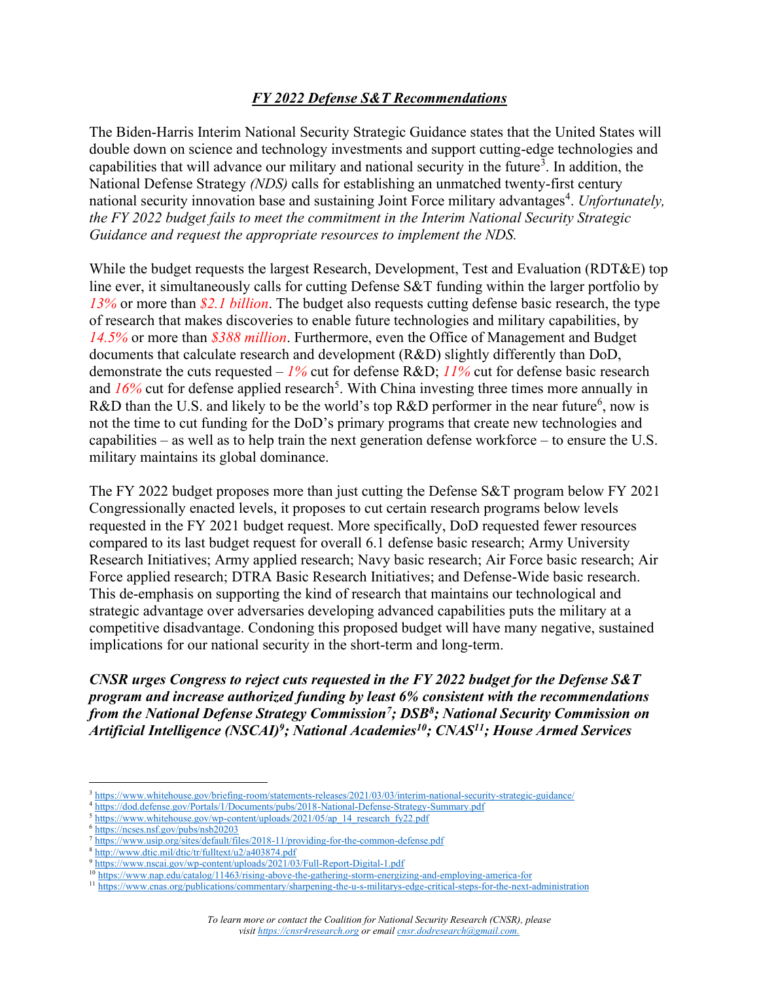## *FY 2022 Defense S&T Recommendations*

The Biden-Harris Interim National Security Strategic Guidance states that the United States will double down on science and technology investments and support cutting-edge technologies and capabilities that will advance our military and national security in the future<sup>3</sup>. In addition, the National Defense Strategy *(NDS)* calls for establishing an unmatched twenty-first century national security innovation base and sustaining Joint Force military advantages<sup>4</sup>. Unfortunately, *the FY 2022 budget fails to meet the commitment in the Interim National Security Strategic Guidance and request the appropriate resources to implement the NDS.*

While the budget requests the largest Research, Development, Test and Evaluation (RDT&E) top line ever, it simultaneously calls for cutting Defense S&T funding within the larger portfolio by *13%* or more than *\$2.1 billion*. The budget also requests cutting defense basic research, the type of research that makes discoveries to enable future technologies and military capabilities, by *14.5%* or more than *\$388 million*. Furthermore, even the Office of Management and Budget documents that calculate research and development (R&D) slightly differently than DoD, demonstrate the cuts requested – *1%* cut for defense R&D; *11%* cut for defense basic research and 16% cut for defense applied research<sup>5</sup>. With China investing three times more annually in R&D than the U.S. and likely to be the world's top R&D performer in the near future<sup>6</sup>, now is not the time to cut funding for the DoD's primary programs that create new technologies and capabilities – as well as to help train the next generation defense workforce – to ensure the U.S. military maintains its global dominance.

The FY 2022 budget proposes more than just cutting the Defense S&T program below FY 2021 Congressionally enacted levels, it proposes to cut certain research programs below levels requested in the FY 2021 budget request. More specifically, DoD requested fewer resources compared to its last budget request for overall 6.1 defense basic research; Army University Research Initiatives; Army applied research; Navy basic research; Air Force basic research; Air Force applied research; DTRA Basic Research Initiatives; and Defense-Wide basic research. This de-emphasis on supporting the kind of research that maintains our technological and strategic advantage over adversaries developing advanced capabilities puts the military at a competitive disadvantage. Condoning this proposed budget will have many negative, sustained implications for our national security in the short-term and long-term.

*CNSR urges Congress to reject cuts requested in the FY 2022 budget for the Defense S&T program and increase authorized funding by least 6% consistent with the recommendations from the National Defense Strategy Commission<sup>7</sup> ; DSB<sup>8</sup> ; National Security Commission on Artificial Intelligence (NSCAI)<sup>9</sup> ; National Academies<sup>10</sup>; CNAS<sup>11</sup>; House Armed Services* 

<sup>5</sup> [https://www.whitehouse.gov/wp-content/uploads/2021/05/ap\\_14\\_research\\_fy22.pdf](https://www.whitehouse.gov/wp-content/uploads/2021/05/ap_14_research_fy22.pdf)

<sup>&</sup>lt;sup>3</sup> <https://www.whitehouse.gov/briefing-room/statements-releases/2021/03/03/interim-national-security-strategic-guidance/>

<sup>4</sup> <https://dod.defense.gov/Portals/1/Documents/pubs/2018-National-Defense-Strategy-Summary.pdf>

<https://ncses.nsf.gov/pubs/nsb20203>

<sup>7</sup> <https://www.usip.org/sites/default/files/2018-11/providing-for-the-common-defense.pdf>

<sup>8</sup> <http://www.dtic.mil/dtic/tr/fulltext/u2/a403874.pdf>

<sup>9</sup> <https://www.nscai.gov/wp-content/uploads/2021/03/Full-Report-Digital-1.pdf>

<sup>&</sup>lt;sup>10</sup> <https://www.nap.edu/catalog/11463/rising-above-the-gathering-storm-energizing-and-employing-america-for>

<sup>&</sup>lt;sup>11</sup> <https://www.cnas.org/publications/commentary/sharpening-the-u-s-militarys-edge-critical-steps-for-the-next-administration>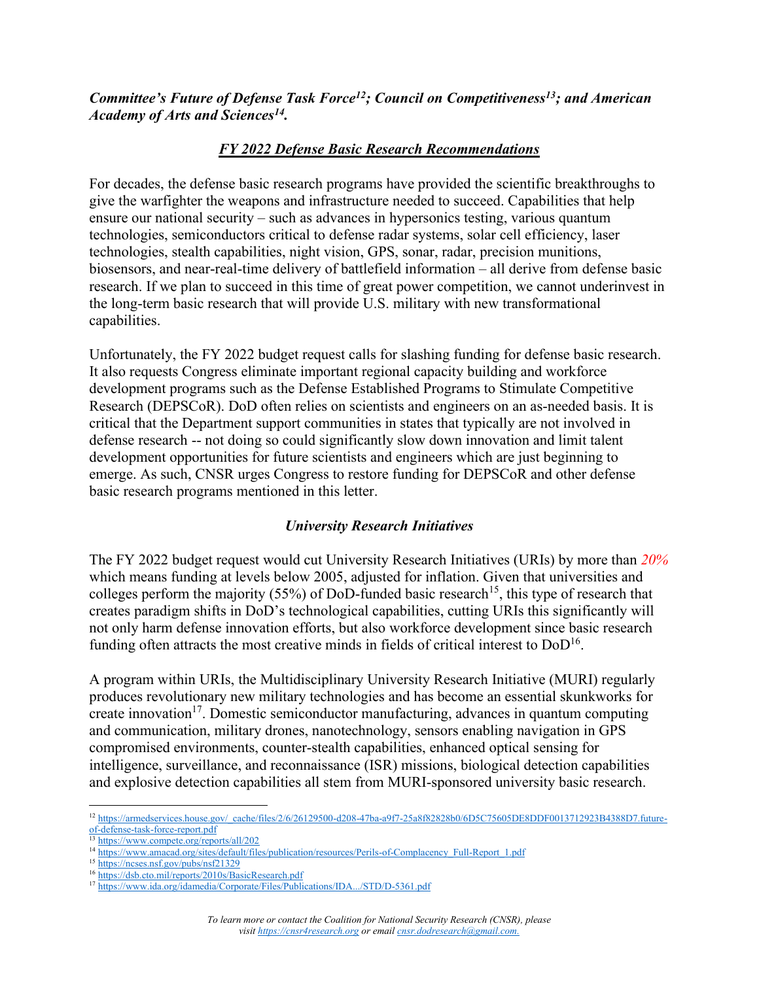*Committee's Future of Defense Task Force<sup>12</sup>; Council on Competitiveness<sup>13</sup>; and American Academy of Arts and Sciences<sup>14</sup> .* 

# *FY 2022 Defense Basic Research Recommendations*

For decades, the defense basic research programs have provided the scientific breakthroughs to give the warfighter the weapons and infrastructure needed to succeed. Capabilities that help ensure our national security – such as advances in hypersonics testing, various quantum technologies, semiconductors critical to defense radar systems, solar cell efficiency, laser technologies, stealth capabilities, night vision, GPS, sonar, radar, precision munitions, biosensors, and near-real-time delivery of battlefield information – all derive from defense basic research. If we plan to succeed in this time of great power competition, we cannot underinvest in the long-term basic research that will provide U.S. military with new transformational capabilities.

Unfortunately, the FY 2022 budget request calls for slashing funding for defense basic research. It also requests Congress eliminate important regional capacity building and workforce development programs such as the Defense Established Programs to Stimulate Competitive Research (DEPSCoR). DoD often relies on scientists and engineers on an as-needed basis. It is critical that the Department support communities in states that typically are not involved in defense research -- not doing so could significantly slow down innovation and limit talent development opportunities for future scientists and engineers which are just beginning to emerge. As such, CNSR urges Congress to restore funding for DEPSCoR and other defense basic research programs mentioned in this letter.

# *University Research Initiatives*

The FY 2022 budget request would cut University Research Initiatives (URIs) by more than *20%* which means funding at levels below 2005, adjusted for inflation. Given that universities and colleges perform the majority (55%) of DoD-funded basic research<sup>15</sup>, this type of research that creates paradigm shifts in DoD's technological capabilities, cutting URIs this significantly will not only harm defense innovation efforts, but also workforce development since basic research funding often attracts the most creative minds in fields of critical interest to  $DoD^{16}$ .

A program within URIs, the Multidisciplinary University Research Initiative (MURI) regularly produces revolutionary new military technologies and has become an essential skunkworks for create innovation<sup>17</sup>. Domestic semiconductor manufacturing, advances in quantum computing and communication, military drones, nanotechnology, sensors enabling navigation in GPS compromised environments, counter-stealth capabilities, enhanced optical sensing for intelligence, surveillance, and reconnaissance (ISR) missions, biological detection capabilities and explosive detection capabilities all stem from MURI-sponsored university basic research.

<sup>12</sup> [https://armedservices.house.gov/\\_cache/files/2/6/26129500-d208-47ba-a9f7-25a8f82828b0/6D5C75605DE8DDF0013712923B4388D7.future](https://armedservices.house.gov/_cache/files/2/6/26129500-d208-47ba-a9f7-25a8f82828b0/6D5C75605DE8DDF0013712923B4388D7.future-of-defense-task-force-report.pdf)[of-defense-task-force-report.pdf](https://armedservices.house.gov/_cache/files/2/6/26129500-d208-47ba-a9f7-25a8f82828b0/6D5C75605DE8DDF0013712923B4388D7.future-of-defense-task-force-report.pdf)

<sup>&</sup>lt;sup>13</sup> https://www.compete.org/reports/all/202

<sup>&</sup>lt;sup>14</sup> [https://www.amacad.org/sites/default/files/publication/resources/Perils-of-Complacency\\_Full-Report\\_1.pdf](https://www.amacad.org/sites/default/files/publication/resources/Perils-of-Complacency_Full-Report_1.pdf)

<sup>15</sup> <https://ncses.nsf.gov/pubs/nsf21329>

<sup>&</sup>lt;sup>16</sup> <https://dsb.cto.mil/reports/2010s/BasicResearch.pdf>

<sup>17</sup> <https://www.ida.org/idamedia/Corporate/Files/Publications/IDA.../STD/D-5361.pdf>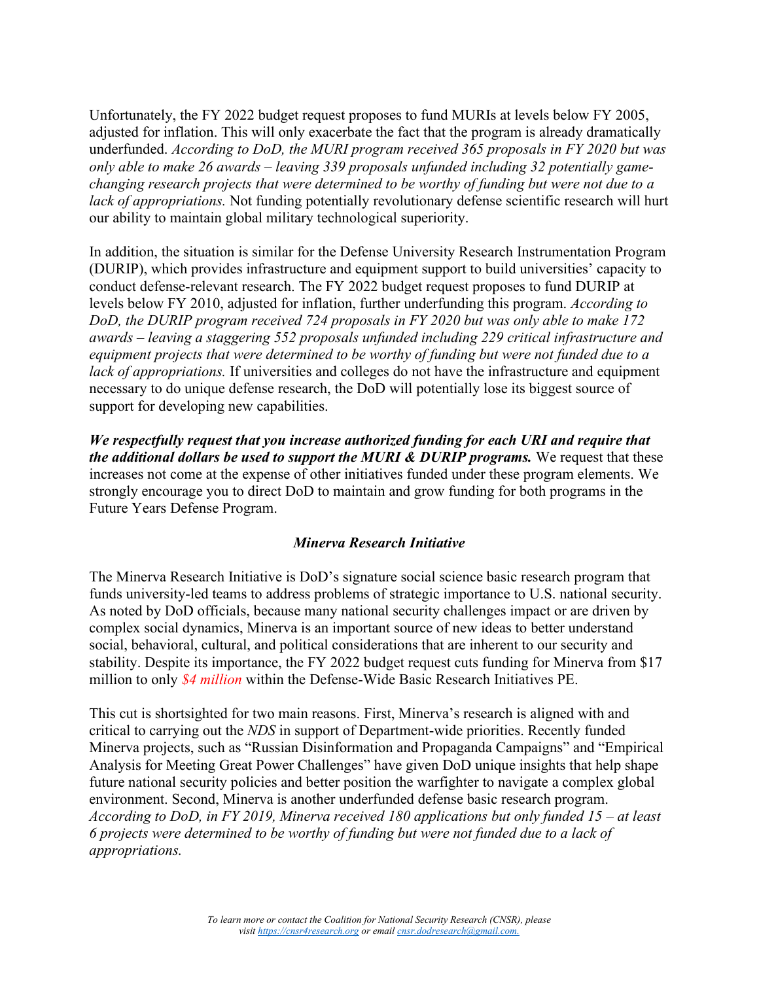Unfortunately, the FY 2022 budget request proposes to fund MURIs at levels below FY 2005, adjusted for inflation. This will only exacerbate the fact that the program is already dramatically underfunded. *According to DoD, the MURI program received 365 proposals in FY 2020 but was only able to make 26 awards – leaving 339 proposals unfunded including 32 potentially gamechanging research projects that were determined to be worthy of funding but were not due to a lack of appropriations.* Not funding potentially revolutionary defense scientific research will hurt our ability to maintain global military technological superiority.

In addition, the situation is similar for the Defense University Research Instrumentation Program (DURIP), which provides infrastructure and equipment support to build universities' capacity to conduct defense-relevant research. The FY 2022 budget request proposes to fund DURIP at levels below FY 2010, adjusted for inflation, further underfunding this program. *According to DoD, the DURIP program received 724 proposals in FY 2020 but was only able to make 172 awards – leaving a staggering 552 proposals unfunded including 229 critical infrastructure and equipment projects that were determined to be worthy of funding but were not funded due to a lack of appropriations.* If universities and colleges do not have the infrastructure and equipment necessary to do unique defense research, the DoD will potentially lose its biggest source of support for developing new capabilities.

*We respectfully request that you increase authorized funding for each URI and require that the additional dollars be used to support the MURI & DURIP programs.* We request that these increases not come at the expense of other initiatives funded under these program elements. We strongly encourage you to direct DoD to maintain and grow funding for both programs in the Future Years Defense Program.

#### *Minerva Research Initiative*

The Minerva Research Initiative is DoD's signature social science basic research program that funds university-led teams to address problems of strategic importance to U.S. national security. As noted by DoD officials, because many national security challenges impact or are driven by complex social dynamics, Minerva is an important source of new ideas to better understand social, behavioral, cultural, and political considerations that are inherent to our security and stability. Despite its importance, the FY 2022 budget request cuts funding for Minerva from \$17 million to only *\$4 million* within the Defense-Wide Basic Research Initiatives PE.

This cut is shortsighted for two main reasons. First, Minerva's research is aligned with and critical to carrying out the *NDS* in support of Department-wide priorities. Recently funded Minerva projects, such as "Russian Disinformation and Propaganda Campaigns" and "Empirical Analysis for Meeting Great Power Challenges" have given DoD unique insights that help shape future national security policies and better position the warfighter to navigate a complex global environment. Second, Minerva is another underfunded defense basic research program. *According to DoD, in FY 2019, Minerva received 180 applications but only funded 15 – at least 6 projects were determined to be worthy of funding but were not funded due to a lack of appropriations.*